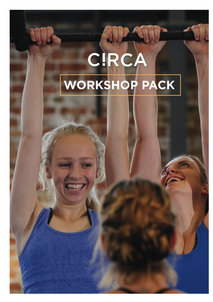# CIRCA WORKSHOP PACK